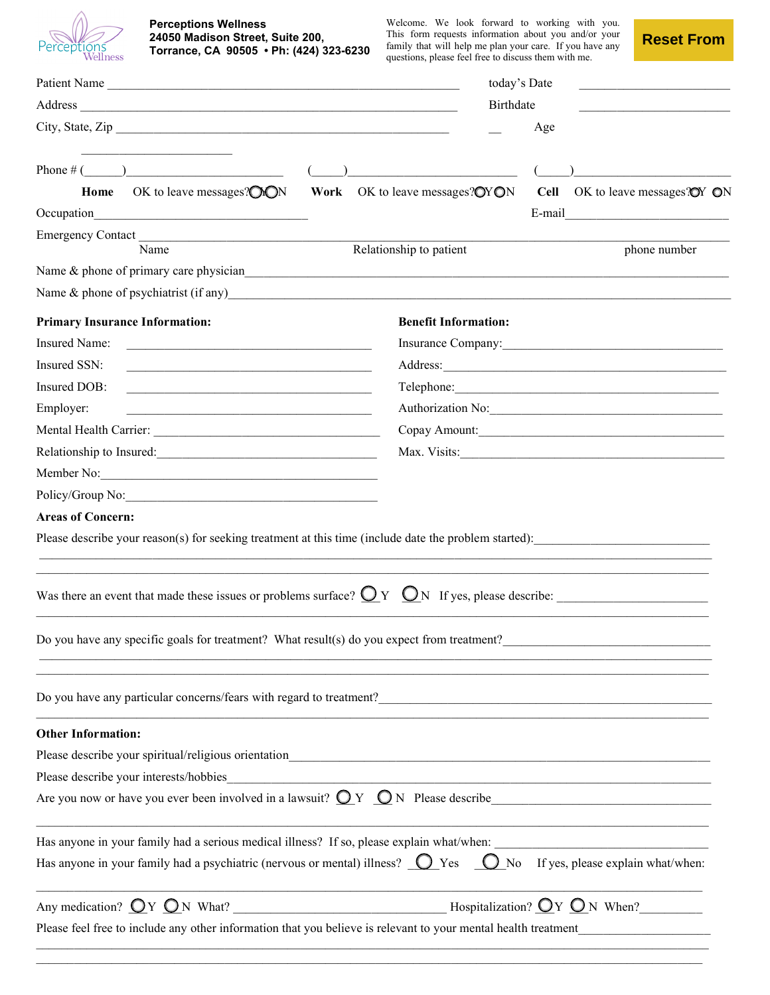| Perceptions<br>Wellness |
|-------------------------|

#### **Perceptions Wellness 24050 Madison Street, Suite 200, Torrance, CA 90505 • Ph: (424) 323-6230**

Welcome. We look forward to working with you. This form requests information about you and/or your family that will help me plan your care. If you have any questions, please feel free to discuss them with me.

**Reset From**

| Patient Name                                                                                                                                                                                                                       |                         |                                                 | today's Date     |                                            |  |
|------------------------------------------------------------------------------------------------------------------------------------------------------------------------------------------------------------------------------------|-------------------------|-------------------------------------------------|------------------|--------------------------------------------|--|
|                                                                                                                                                                                                                                    |                         |                                                 | <b>Birthdate</b> |                                            |  |
| City, State, Zip                                                                                                                                                                                                                   |                         |                                                 | Age              |                                            |  |
|                                                                                                                                                                                                                                    |                         |                                                 |                  |                                            |  |
| OK to leave messages? $\bigcirc$ NON<br>Home                                                                                                                                                                                       | Work                    | OK to leave messages? $\bigcirc$ Y $\bigcirc$ N |                  | Cell OK to leave messages $\mathbb{Q}V$ ON |  |
| Occupation                                                                                                                                                                                                                         |                         |                                                 |                  | E-mail $\qquad \qquad$                     |  |
| Emergency Contact<br>Name                                                                                                                                                                                                          | Relationship to patient |                                                 |                  | phone number                               |  |
| Name & phone of primary care physician<br>and the matter of the state of primary care physician<br>and the matter of the state of the state of the state of the state of the state of the state of the state of the state of the s |                         |                                                 |                  |                                            |  |
| Name $\&$ phone of psychiatrist (if any)                                                                                                                                                                                           |                         |                                                 |                  |                                            |  |
| <b>Primary Insurance Information:</b>                                                                                                                                                                                              |                         | <b>Benefit Information:</b>                     |                  |                                            |  |
| Insured Name:                                                                                                                                                                                                                      |                         |                                                 |                  |                                            |  |
| Insured SSN:<br><u> 1980 - Johann Barbara, martxa alemaniar arg</u>                                                                                                                                                                |                         |                                                 |                  |                                            |  |
| Insured DOB:<br>the control of the control of the control of the control of the control of the control of                                                                                                                          |                         |                                                 |                  |                                            |  |
| Employer:<br><u> 1989 - Johann John Stone, mars eta biztanleria (h. 1989).</u>                                                                                                                                                     |                         |                                                 |                  | Authorization No:                          |  |
|                                                                                                                                                                                                                                    |                         |                                                 |                  | Copay Amount:                              |  |
| Relationship to Insured:<br><u> </u>                                                                                                                                                                                               |                         |                                                 |                  |                                            |  |
| Member No:                                                                                                                                                                                                                         |                         |                                                 |                  |                                            |  |
| Policy/Group No:                                                                                                                                                                                                                   |                         |                                                 |                  |                                            |  |
| <b>Areas of Concern:</b>                                                                                                                                                                                                           |                         |                                                 |                  |                                            |  |
| Please describe your reason(s) for seeking treatment at this time (include date the problem started):                                                                                                                              |                         |                                                 |                  |                                            |  |
|                                                                                                                                                                                                                                    |                         |                                                 |                  |                                            |  |
| Was there an event that made these issues or problems surface? $QY$ $QN$ If yes, please describe:                                                                                                                                  |                         |                                                 |                  |                                            |  |
|                                                                                                                                                                                                                                    |                         |                                                 |                  |                                            |  |
| Do you have any specific goals for treatment? What result(s) do you expect from treatment?                                                                                                                                         |                         |                                                 |                  |                                            |  |
|                                                                                                                                                                                                                                    |                         |                                                 |                  |                                            |  |
| Do you have any particular concerns/fears with regard to treatment?<br>The manufacture of the manufacture of the manufacture of the manufacture of the manufacture of the manufacture                                              |                         |                                                 |                  |                                            |  |
| <b>Other Information:</b>                                                                                                                                                                                                          |                         |                                                 |                  |                                            |  |
|                                                                                                                                                                                                                                    |                         |                                                 |                  |                                            |  |
|                                                                                                                                                                                                                                    |                         |                                                 |                  |                                            |  |
| Are you now or have you ever been involved in a lawsuit? $QY$ $QN$ Please describe                                                                                                                                                 |                         |                                                 |                  |                                            |  |
|                                                                                                                                                                                                                                    |                         |                                                 |                  |                                            |  |
| Has anyone in your family had a psychiatric (nervous or mental) illness? $\bigcirc$ Yes $\bigcirc$ No If yes, please explain what/when:                                                                                            |                         |                                                 |                  |                                            |  |
|                                                                                                                                                                                                                                    |                         |                                                 |                  |                                            |  |
|                                                                                                                                                                                                                                    |                         |                                                 |                  |                                            |  |

\_\_\_\_\_\_\_\_\_\_\_\_\_\_\_\_\_\_\_\_\_\_\_\_\_\_\_\_\_\_\_\_\_\_\_\_\_\_\_\_\_\_\_\_\_\_\_\_\_\_\_\_\_\_\_\_\_\_\_\_\_\_\_\_\_\_\_\_\_\_\_\_\_\_\_\_\_\_\_\_\_\_\_\_\_\_\_\_\_\_\_\_\_\_\_\_\_\_\_\_\_\_\_\_\_\_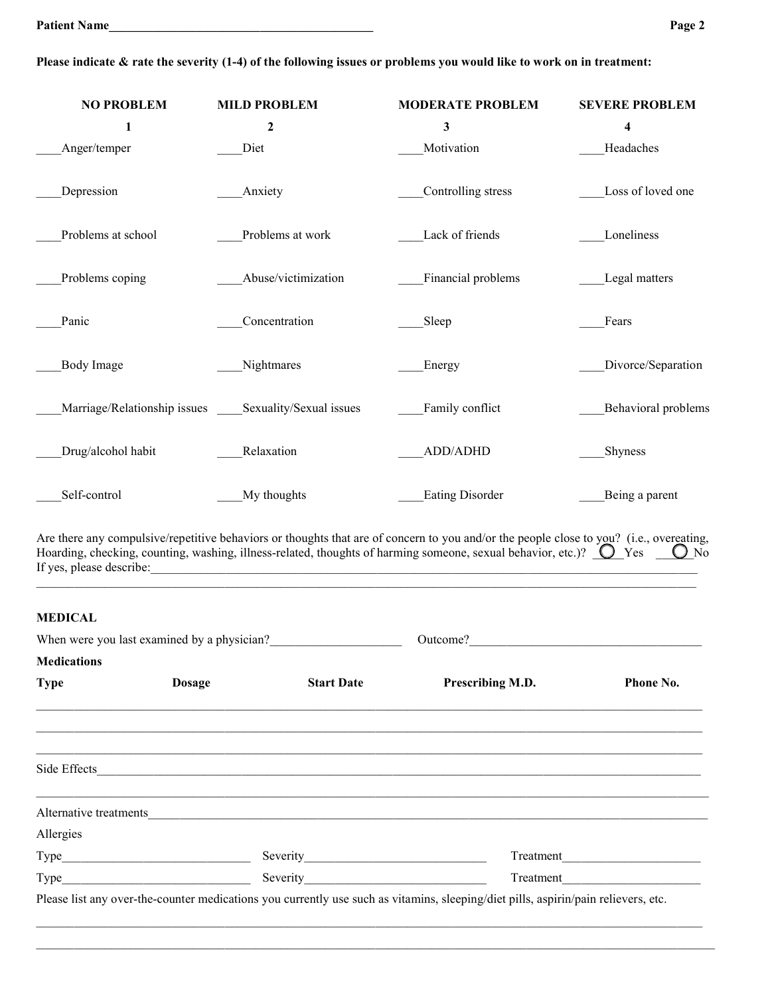| <b>NO PROBLEM</b><br>$\mathbf{1}$ | <b>MILD PROBLEM</b><br>$\boldsymbol{2}$ | <b>MODERATE PROBLEM</b><br>$\mathbf{3}$ | <b>SEVERE PROBLEM</b><br>4 |
|-----------------------------------|-----------------------------------------|-----------------------------------------|----------------------------|
| Anger/temper                      | Diet                                    | Motivation                              | Headaches                  |
| Depression                        | Anxiety                                 | Controlling stress                      | Loss of loved one          |
| Problems at school                | Problems at work                        | Lack of friends                         | Loneliness                 |
| Problems coping                   | Abuse/victimization                     | Financial problems                      | Legal matters              |
| Panic                             | Concentration                           | Sleep                                   | Fears                      |
| Body Image                        | Nightmares                              | Energy                                  | Divorce/Separation         |
| Marriage/Relationship issues      | Sexuality/Sexual issues                 | Family conflict                         | Behavioral problems        |
| Drug/alcohol habit                | Relaxation                              | ADD/ADHD                                | Shyness                    |
| Self-control                      | My thoughts                             | <b>Eating Disorder</b>                  | Being a parent             |

Are there any compulsive/repetitive behaviors or thoughts that are of concern to you and/or the people close to you? (i.e., overeating, Hoarding, checking, counting, washing, illness-related, thoughts of harming someone, sexual behavior, etc.)?  $\bigcup Y$ es  $\bigcup N$ o If yes, please describe:  $\frac{1}{2}$ 

 $\_$  ,  $\_$  ,  $\_$  ,  $\_$  ,  $\_$  ,  $\_$  ,  $\_$  ,  $\_$  ,  $\_$  ,  $\_$  ,  $\_$  ,  $\_$  ,  $\_$  ,  $\_$  ,  $\_$  ,  $\_$  ,  $\_$  ,  $\_$  ,  $\_$  ,  $\_$  ,  $\_$  ,  $\_$  ,  $\_$  ,  $\_$  ,  $\_$  ,  $\_$  ,  $\_$  ,  $\_$  ,  $\_$  ,  $\_$  ,  $\_$  ,  $\_$  ,  $\_$  ,  $\_$  ,  $\_$  ,  $\_$  ,  $\_$  ,

# **MEDICAL**

| <b>Type</b> | <b>Dosage</b> | <b>Start Date</b> | Prescribing M.D.                                                                                                                   | <b>Phone No.</b> |
|-------------|---------------|-------------------|------------------------------------------------------------------------------------------------------------------------------------|------------------|
|             |               |                   |                                                                                                                                    |                  |
|             |               |                   |                                                                                                                                    |                  |
|             |               |                   |                                                                                                                                    |                  |
|             |               |                   | Alternative treatments                                                                                                             |                  |
| Allergies   |               |                   |                                                                                                                                    |                  |
|             |               |                   |                                                                                                                                    | Treatment        |
|             | Type          | Severity          |                                                                                                                                    | Treatment        |
|             |               |                   | Please list any over-the-counter medications you currently use such as vitamins, sleeping/diet pills, aspirin/pain relievers, etc. |                  |

**Please indicate & rate the severity (1-4) of the following issues or problems you would like to work on in treatment:**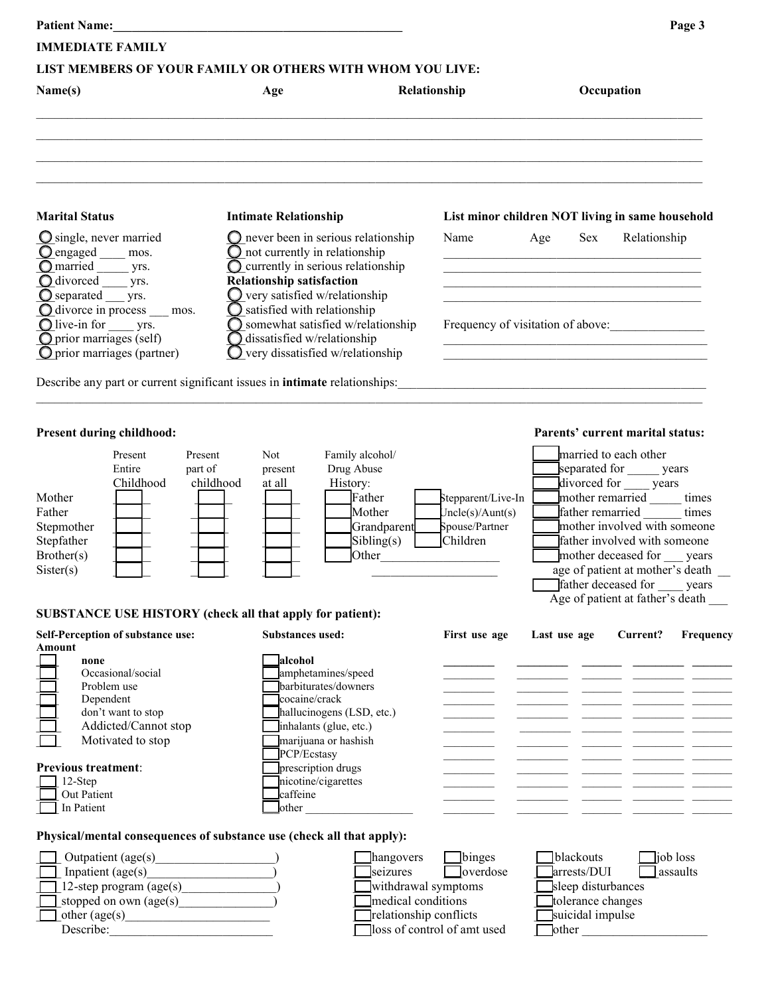|                                                                                                                                                                                                     |                                                                                                                                                                                                            |                                                                    |                                                                      |                                                                     | Page 3                                                                                                                                                                                                                                                                                                                                                                                          |
|-----------------------------------------------------------------------------------------------------------------------------------------------------------------------------------------------------|------------------------------------------------------------------------------------------------------------------------------------------------------------------------------------------------------------|--------------------------------------------------------------------|----------------------------------------------------------------------|---------------------------------------------------------------------|-------------------------------------------------------------------------------------------------------------------------------------------------------------------------------------------------------------------------------------------------------------------------------------------------------------------------------------------------------------------------------------------------|
| <b>IMMEDIATE FAMILY</b>                                                                                                                                                                             |                                                                                                                                                                                                            |                                                                    |                                                                      |                                                                     |                                                                                                                                                                                                                                                                                                                                                                                                 |
| LIST MEMBERS OF YOUR FAMILY OR OTHERS WITH WHOM YOU LIVE:                                                                                                                                           |                                                                                                                                                                                                            |                                                                    |                                                                      |                                                                     |                                                                                                                                                                                                                                                                                                                                                                                                 |
| Name(s)                                                                                                                                                                                             | Age                                                                                                                                                                                                        | Relationship                                                       |                                                                      |                                                                     | Occupation                                                                                                                                                                                                                                                                                                                                                                                      |
|                                                                                                                                                                                                     |                                                                                                                                                                                                            |                                                                    |                                                                      |                                                                     |                                                                                                                                                                                                                                                                                                                                                                                                 |
| <b>Marital Status</b>                                                                                                                                                                               | <b>Intimate Relationship</b>                                                                                                                                                                               |                                                                    |                                                                      |                                                                     | List minor children NOT living in same household                                                                                                                                                                                                                                                                                                                                                |
| $\bigcirc$ single, never married<br>$\Omega$ engaged $\_\_\$ mos.<br>$\overline{\mathbf{O}}$ married $\overline{\mathbf{V}}$ yrs.                                                                   | $\bigcirc$ never been in serious relationship<br>$\bigcirc$ not currently in relationship<br>$\bigcirc$ currently in serious relationship<br><b>Relationship satisfaction</b>                              |                                                                    | Name                                                                 | Age<br>Sex                                                          | Relationship                                                                                                                                                                                                                                                                                                                                                                                    |
| $\overline{O}$ separated ___ yrs.<br>O divorce in process __ mos.<br>$\bigcirc$ live-in for _______ yrs.<br>$\overline{O}$ prior marriages (self)<br>$\bullet$ prior marriages (partner)            | very satisfied w/relationship<br>O<br>$\bigcirc$ satisfied with relationship<br>$\bigcirc$ somewhat satisfied w/relationship<br>$\bigcirc$ dissatisfied w/relationship<br>very dissatisfied w/relationship |                                                                    |                                                                      |                                                                     | Frequency of visitation of above:                                                                                                                                                                                                                                                                                                                                                               |
|                                                                                                                                                                                                     |                                                                                                                                                                                                            |                                                                    |                                                                      |                                                                     |                                                                                                                                                                                                                                                                                                                                                                                                 |
| Present during childhood:<br>Present<br>Entire<br>Childhood<br>Mother<br>Father<br>Stepmother<br>Stepfather<br>Brother(s)<br>Sister(s)<br>SUBSTANCE USE HISTORY (check all that apply for patient): | <b>Not</b><br>Family alcohol/<br>Present<br>Drug Abuse<br>part of<br>present<br>History:<br>childhood<br>at all                                                                                            | Father<br>Mother<br>Grandparent<br>Sibling(s)<br>Other             | Stepparent/Live-In<br>Jncle(s)/Aunt(s)<br>Spouse/Partner<br>Children |                                                                     | Parents' current marital status:<br>married to each other<br>separated for <u>seems</u> years<br>divorced for _____ years<br>mother remarried ______ times<br>father remarried<br>times<br>mother involved with someone<br>father involved with someone<br>mother deceased for<br>years<br>age of patient at mother's death _<br>Trather deceased for years<br>Age of patient at father's death |
| Self-Perception of substance use:<br><b>Amount</b><br>none<br>Occasional/social<br>Problem use<br>Dependent<br>don't want to stop<br>Addicted/Cannot stop<br>Motivated to stop                      | <b>Substances used:</b><br>lalcohol<br>amphetamines/speed<br>barbiturates/downers<br>cocaine/crack<br>hallucinogens (LSD, etc.)<br>inhalants (glue, etc.)<br>marijuana or hashish                          |                                                                    | First use age                                                        | Last use age                                                        | Current?<br>Frequency                                                                                                                                                                                                                                                                                                                                                                           |
| <b>Previous treatment:</b><br>12-Step<br>Out Patient<br>In Patient                                                                                                                                  | PCP/Ecstasy<br>prescription drugs<br>nicotine/cigarettes<br>caffeine<br>other                                                                                                                              |                                                                    |                                                                      |                                                                     |                                                                                                                                                                                                                                                                                                                                                                                                 |
| Physical/mental consequences of substance use (check all that apply):                                                                                                                               |                                                                                                                                                                                                            |                                                                    |                                                                      |                                                                     |                                                                                                                                                                                                                                                                                                                                                                                                 |
| Outpatient $(age(s))$<br>Inpatient (age(s)<br>12-step program $(age(s))$<br>stopped on own (age(s)                                                                                                  |                                                                                                                                                                                                            | hangovers<br>seizures<br>withdrawal symptoms<br>medical conditions | $\Box$ binges<br>overdose                                            | blackouts<br>arrests/DUI<br>sleep disturbances<br>tolerance changes | job loss<br>assaults                                                                                                                                                                                                                                                                                                                                                                            |

|                         | . |
|-------------------------|---|
| other $(\text{age}(s))$ |   |
|                         |   |

- 
- $\Box$  other (age(s) example the contract of the contract of the contract of the contract of the contract of the contract of the contract of the contract of the contract of the contract of the contract of the contract of th

Describe:  $\Box$  loss of control of amt used  $\Box$  other  $\Box$